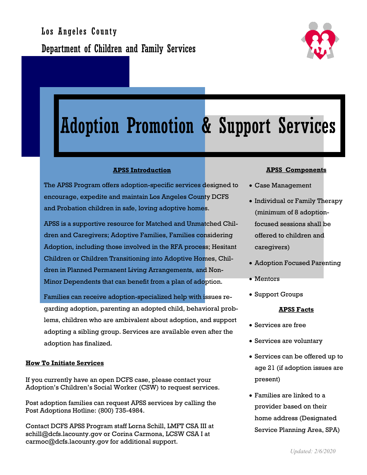

# Adoption Promotion & Support Services

### **APSS Introduction**

The APSS Program offers adoption-specific services designed to encourage, expedite and maintain Los Angeles County DCFS and Probation children in safe, loving adoptive homes.

APSS is a supportive resource for Matched and Unmatched Children and Caregivers; Adoptive Families, Families considering Adoption, including those involved in the RFA process; Hesitant Children or Children Transitioning into Adoptive Homes, Children in Planned Permanent Living Arrangements, and Non-Minor Dependents that can benefit from a plan of adoption.

Families can receive adoption-specialized help with issues regarding adoption, parenting an adopted child, behavioral problems, children who are ambivalent about adoption, and support adopting a sibling group. Services are available even after the adoption has finalized.

#### **How To Initiate Services**

If you currently have an open DCFS case, please contact your Adoption's Children's Social Worker (CSW) to request services.

Post adoption families can request APSS services by calling the Post Adoptions Hotline: (800) 735-4984.

Contact DCFS APSS Program staff Lorna Schill, LMFT CSA III at schill@dcfs.lacounty.gov or Corina Carmona, LCSW CSA I at carmoc@dcfs.lacounty.gov for additional support.

#### **APSS Components**

- Case Management
- Individual or Family Therapy (minimum of 8 adoptionfocused sessions shall be offered to children and caregivers)
- Adoption Focused Parenting
- Mentors
- Support Groups

#### **APSS Facts**

- Services are free
- Services are voluntary
- Services can be offered up to age 21 (if adoption issues are present)
- Families are linked to a provider based on their home address (Designated Service Planning Area, SPA)